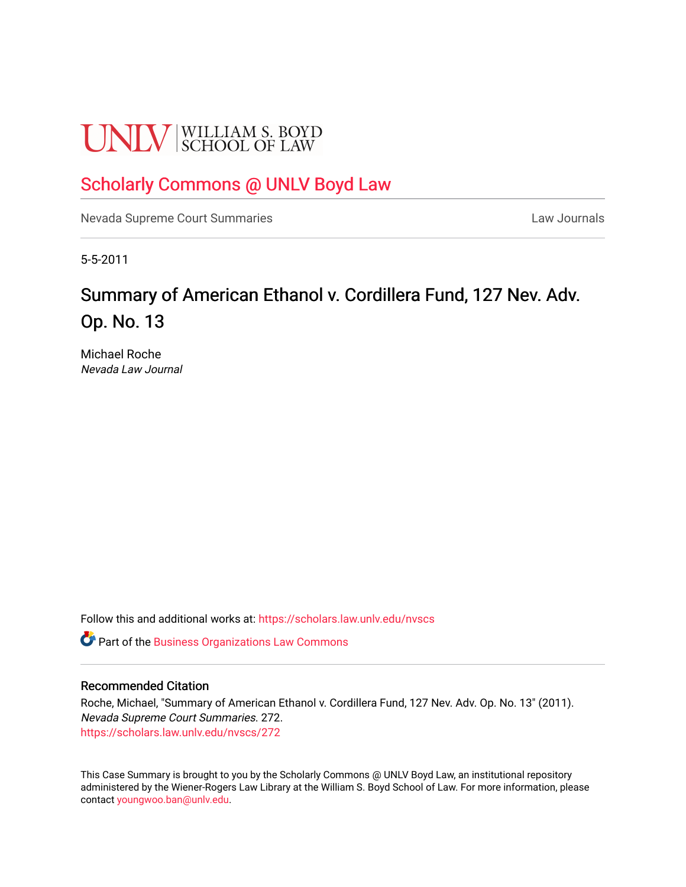# **UNLV** SCHOOL OF LAW

# [Scholarly Commons @ UNLV Boyd Law](https://scholars.law.unlv.edu/)

[Nevada Supreme Court Summaries](https://scholars.law.unlv.edu/nvscs) **Law Journals** Law Journals

5-5-2011

# Summary of American Ethanol v. Cordillera Fund, 127 Nev. Adv. Op. No. 13

Michael Roche Nevada Law Journal

Follow this and additional works at: [https://scholars.law.unlv.edu/nvscs](https://scholars.law.unlv.edu/nvscs?utm_source=scholars.law.unlv.edu%2Fnvscs%2F272&utm_medium=PDF&utm_campaign=PDFCoverPages)

Part of the [Business Organizations Law Commons](http://network.bepress.com/hgg/discipline/900?utm_source=scholars.law.unlv.edu%2Fnvscs%2F272&utm_medium=PDF&utm_campaign=PDFCoverPages)

#### Recommended Citation

Roche, Michael, "Summary of American Ethanol v. Cordillera Fund, 127 Nev. Adv. Op. No. 13" (2011). Nevada Supreme Court Summaries. 272. [https://scholars.law.unlv.edu/nvscs/272](https://scholars.law.unlv.edu/nvscs/272?utm_source=scholars.law.unlv.edu%2Fnvscs%2F272&utm_medium=PDF&utm_campaign=PDFCoverPages)

This Case Summary is brought to you by the Scholarly Commons @ UNLV Boyd Law, an institutional repository administered by the Wiener-Rogers Law Library at the William S. Boyd School of Law. For more information, please contact [youngwoo.ban@unlv.edu](mailto:youngwoo.ban@unlv.edu).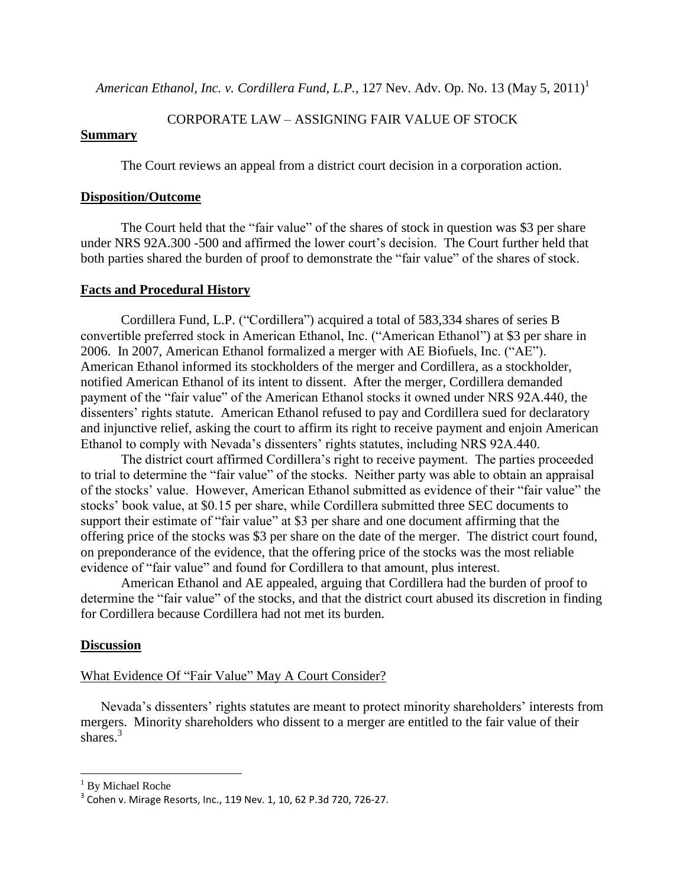*American Ethanol, Inc. v. Cordillera Fund, L.P.*, 127 Nev. Adv. Op. No. 13 (May 5, 2011) 1

# CORPORATE LAW – ASSIGNING FAIR VALUE OF STOCK

## **Summary**

The Court reviews an appeal from a district court decision in a corporation action.

## **Disposition/Outcome**

The Court held that the "fair value" of the shares of stock in question was \$3 per share under NRS 92A.300 -500 and affirmed the lower court's decision. The Court further held that both parties shared the burden of proof to demonstrate the "fair value" of the shares of stock.

#### **Facts and Procedural History**

Cordillera Fund, L.P. ("Cordillera") acquired a total of 583,334 shares of series B convertible preferred stock in American Ethanol, Inc. ("American Ethanol") at \$3 per share in 2006. In 2007, American Ethanol formalized a merger with AE Biofuels, Inc. ("AE"). American Ethanol informed its stockholders of the merger and Cordillera, as a stockholder, notified American Ethanol of its intent to dissent. After the merger, Cordillera demanded payment of the "fair value" of the American Ethanol stocks it owned under NRS 92A.440, the dissenters' rights statute. American Ethanol refused to pay and Cordillera sued for declaratory and injunctive relief, asking the court to affirm its right to receive payment and enjoin American Ethanol to comply with Nevada's dissenters' rights statutes, including NRS 92A.440.

The district court affirmed Cordillera's right to receive payment. The parties proceeded to trial to determine the "fair value" of the stocks. Neither party was able to obtain an appraisal of the stocks' value. However, American Ethanol submitted as evidence of their "fair value" the stocks' book value, at \$0.15 per share, while Cordillera submitted three SEC documents to support their estimate of "fair value" at \$3 per share and one document affirming that the offering price of the stocks was \$3 per share on the date of the merger. The district court found, on preponderance of the evidence, that the offering price of the stocks was the most reliable evidence of "fair value" and found for Cordillera to that amount, plus interest.

American Ethanol and AE appealed, arguing that Cordillera had the burden of proof to determine the "fair value" of the stocks, and that the district court abused its discretion in finding for Cordillera because Cordillera had not met its burden.

#### **Discussion**

#### What Evidence Of "Fair Value" May A Court Consider?

Nevada's dissenters' rights statutes are meant to protect minority shareholders' interests from mergers. Minority shareholders who dissent to a merger are entitled to the fair value of their shares.<sup>3</sup>

l

<sup>&</sup>lt;sup>1</sup> By Michael Roche

 $3$  Cohen v. Mirage Resorts, Inc., 119 Nev. 1, 10, 62 P.3d 720, 726-27.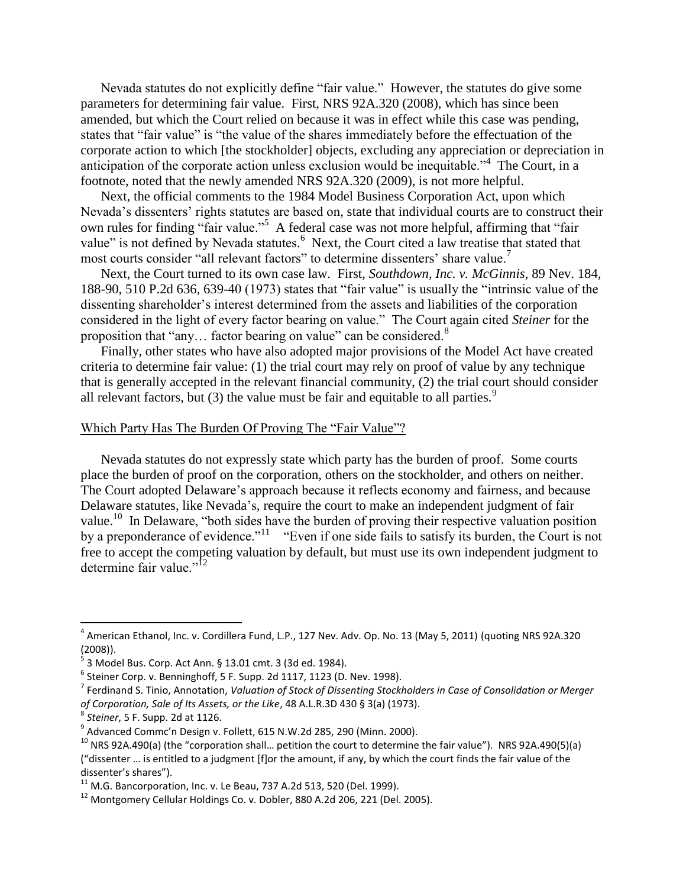Nevada statutes do not explicitly define "fair value." However, the statutes do give some parameters for determining fair value. First, NRS 92A.320 (2008), which has since been amended, but which the Court relied on because it was in effect while this case was pending, states that "fair value" is "the value of the shares immediately before the effectuation of the corporate action to which [the stockholder] objects, excluding any appreciation or depreciation in anticipation of the corporate action unless exclusion would be inequitable."<sup>4</sup> The Court, in a footnote, noted that the newly amended NRS 92A.320 (2009), is not more helpful.

Next, the official comments to the 1984 Model Business Corporation Act, upon which Nevada's dissenters' rights statutes are based on, state that individual courts are to construct their own rules for finding "fair value."<sup>5</sup> A federal case was not more helpful, affirming that "fair value" is not defined by Nevada statutes.<sup>6</sup> Next, the Court cited a law treatise that stated that most courts consider "all relevant factors" to determine dissenters' share value.<sup>7</sup>

Next, the Court turned to its own case law. First, *Southdown, Inc. v. McGinnis*, 89 Nev. 184, 188-90, 510 P.2d 636, 639-40 (1973) states that "fair value" is usually the "intrinsic value of the dissenting shareholder's interest determined from the assets and liabilities of the corporation considered in the light of every factor bearing on value." The Court again cited *Steiner* for the proposition that "any... factor bearing on value" can be considered.<sup>8</sup>

Finally, other states who have also adopted major provisions of the Model Act have created criteria to determine fair value: (1) the trial court may rely on proof of value by any technique that is generally accepted in the relevant financial community, (2) the trial court should consider all relevant factors, but (3) the value must be fair and equitable to all parties.<sup>9</sup>

## Which Party Has The Burden Of Proving The "Fair Value"?

Nevada statutes do not expressly state which party has the burden of proof. Some courts place the burden of proof on the corporation, others on the stockholder, and others on neither. The Court adopted Delaware's approach because it reflects economy and fairness, and because Delaware statutes, like Nevada's, require the court to make an independent judgment of fair value.<sup>10</sup> In Delaware, "both sides have the burden of proving their respective valuation position by a preponderance of evidence."<sup>11</sup> "Even if one side fails to satisfy its burden, the Court is not free to accept the competing valuation by default, but must use its own independent judgment to determine fair value."<sup>12</sup>

 $\overline{a}$ 

<sup>&</sup>lt;sup>4</sup> American Ethanol, Inc. v. Cordillera Fund, L.P., 127 Nev. Adv. Op. No. 13 (May 5, 2011) (quoting NRS 92A.320 (2008)).

<sup>5</sup> 3 Model Bus. Corp. Act Ann. § 13.01 cmt. 3 (3d ed. 1984).

 $^6$  Steiner Corp. v. Benninghoff, 5 F. Supp. 2d 1117, 1123 (D. Nev. 1998).

<sup>7</sup> Ferdinand S. Tinio, Annotation, *Valuation of Stock of Dissenting Stockholders in Case of Consolidation or Merger of Corporation, Sale of Its Assets, or the Like*, 48 A.L.R.3D 430 § 3(a) (1973).

<sup>8</sup> *Steiner*, 5 F. Supp. 2d at 1126.

 $^9$  Advanced Commc'n Design v. Follett, 615 N.W.2d 285, 290 (Minn. 2000).

 $10$  NRS 92A.490(a) (the "corporation shall... petition the court to determine the fair value"). NRS 92A.490(5)(a) ("dissenter ... is entitled to a judgment [f]or the amount, if any, by which the court finds the fair value of the dissenter's shares").

<sup>&</sup>lt;sup>11</sup> M.G. Bancorporation, Inc. v. Le Beau, 737 A.2d 513, 520 (Del. 1999).

<sup>&</sup>lt;sup>12</sup> Montgomery Cellular Holdings Co. v. Dobler, 880 A.2d 206, 221 (Del. 2005).